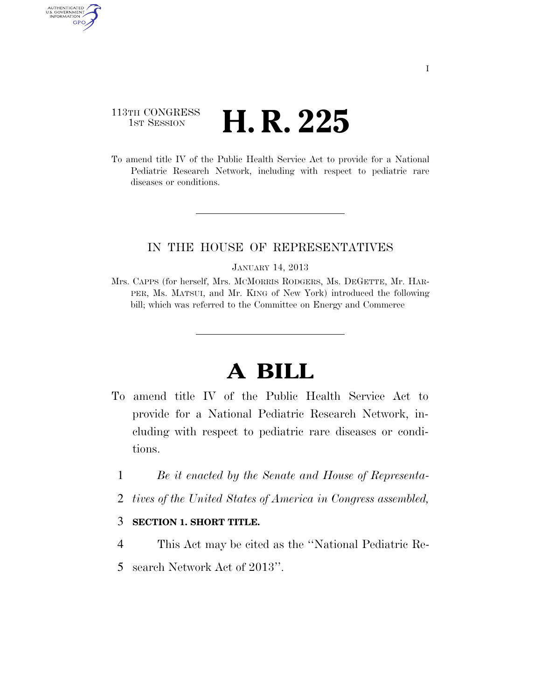# 113TH CONGRESS **H. R. 225**

AUTHENTICATED U.S. GOVERNMENT GPO

> To amend title IV of the Public Health Service Act to provide for a National Pediatric Research Network, including with respect to pediatric rare diseases or conditions.

## IN THE HOUSE OF REPRESENTATIVES

#### JANUARY 14, 2013

Mrs. CAPPS (for herself, Mrs. MCMORRIS RODGERS, Ms. DEGETTE, Mr. HAR-PER, Ms. MATSUI, and Mr. KING of New York) introduced the following bill; which was referred to the Committee on Energy and Commerce

# **A BILL**

- To amend title IV of the Public Health Service Act to provide for a National Pediatric Research Network, including with respect to pediatric rare diseases or conditions.
	- 1 *Be it enacted by the Senate and House of Representa-*
	- 2 *tives of the United States of America in Congress assembled,*

### 3 **SECTION 1. SHORT TITLE.**

- 4 This Act may be cited as the ''National Pediatric Re-
- 5 search Network Act of 2013''.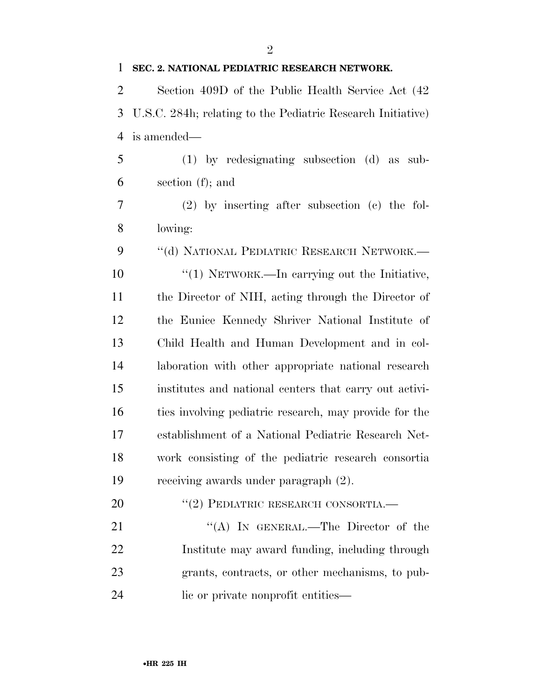**SEC. 2. NATIONAL PEDIATRIC RESEARCH NETWORK.**  Section 409D of the Public Health Service Act (42 U.S.C. 284h; relating to the Pediatric Research Initiative) is amended— (1) by redesignating subsection (d) as sub- section (f); and (2) by inserting after subsection (c) the fol- lowing: 9 "(d) NATIONAL PEDIATRIC RESEARCH NETWORK.—  $\frac{1}{10}$  NETWORK.—In carrying out the Initiative, the Director of NIH, acting through the Director of the Eunice Kennedy Shriver National Institute of Child Health and Human Development and in col- laboration with other appropriate national research institutes and national centers that carry out activi- ties involving pediatric research, may provide for the establishment of a National Pediatric Research Net- work consisting of the pediatric research consortia receiving awards under paragraph (2). 20 "(2) PEDIATRIC RESEARCH CONSORTIA. 21 "(A) IN GENERAL.—The Director of the

 Institute may award funding, including through grants, contracts, or other mechanisms, to pub-24 lie or private nonprofit entities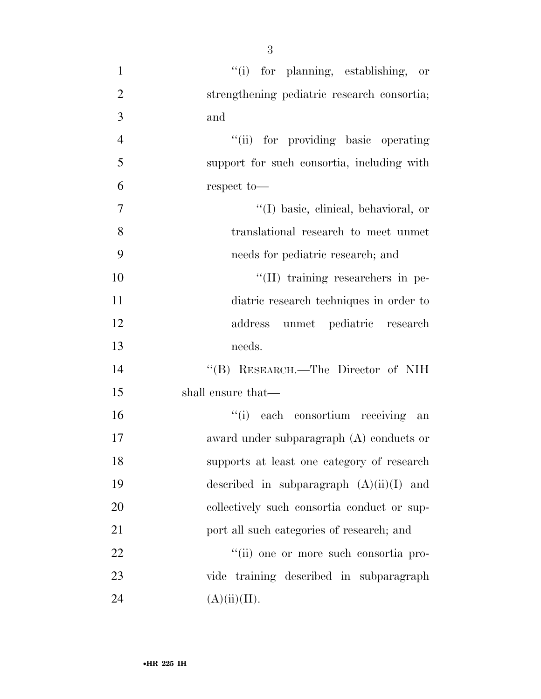| $\mathbf{1}$   | "(i) for planning, establishing, or         |
|----------------|---------------------------------------------|
| $\overline{2}$ | strengthening pediatric research consortia; |
| $\mathfrak{Z}$ | and                                         |
| $\overline{4}$ | "(ii) for providing basic operating         |
| 5              | support for such consortia, including with  |
| 6              | respect to-                                 |
| $\tau$         | "(I) basic, clinical, behavioral, or        |
| 8              | translational research to meet unmet        |
| 9              | needs for pediatric research; and           |
| 10             | "(II) training researchers in pe-           |
| 11             | diatric research techniques in order to     |
| 12             | address unmet pediatric research            |
| 13             | needs.                                      |
| 14             | "(B) RESEARCH.—The Director of NIH          |
| 15             | shall ensure that—                          |
| 16             | "(i) each consortium receiving an           |
| 17             | award under subparagraph $(A)$ conducts or  |
| 18             | supports at least one category of research  |
| 19             | described in subparagraph $(A)(ii)(I)$ and  |
| 20             | collectively such consortia conduct or sup- |
| 21             | port all such categories of research; and   |
| 22             | "(ii) one or more such consortia pro-       |
| 23             | vide training described in subparagraph     |
| 24             | (A)(ii)(II).                                |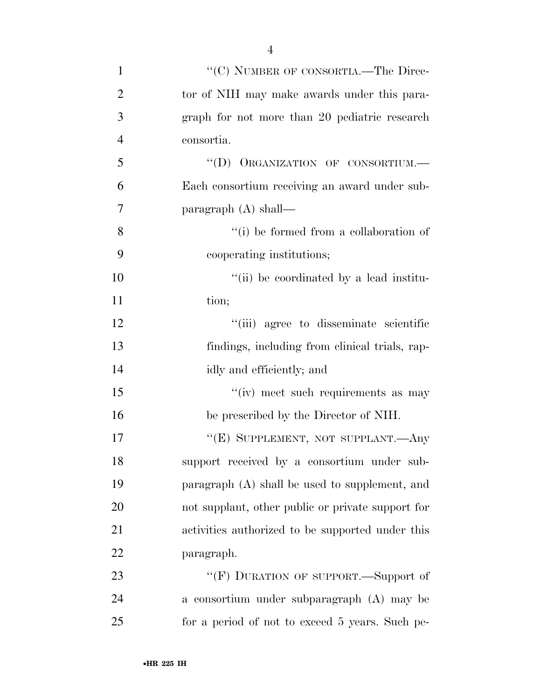| $\mathbf{1}$   | "(C) NUMBER OF CONSORTIA.—The Direc-              |
|----------------|---------------------------------------------------|
| $\overline{2}$ | tor of NIH may make awards under this para-       |
| 3              | graph for not more than 20 pediatric research     |
| $\overline{4}$ | consortia.                                        |
| 5              | "(D) ORGANIZATION OF CONSORTIUM.-                 |
| 6              | Each consortium receiving an award under sub-     |
| 7              | paragraph $(A)$ shall—                            |
| 8              | "(i) be formed from a collaboration of            |
| 9              | cooperating institutions;                         |
| 10             | "(ii) be coordinated by a lead institu-           |
| 11             | tion;                                             |
| 12             | "(iii) agree to disseminate scientific            |
| 13             | findings, including from clinical trials, rap-    |
| 14             | idly and efficiently; and                         |
| 15             | "(iv) meet such requirements as may               |
| 16             | be prescribed by the Director of NIH.             |
| 17             | "(E) SUPPLEMENT, NOT SUPPLANT.—Any                |
| 18             | support received by a consortium under sub-       |
| 19             | paragraph (A) shall be used to supplement, and    |
| 20             | not supplant, other public or private support for |
| 21             | activities authorized to be supported under this  |
| 22             | paragraph.                                        |
| 23             | "(F) DURATION OF SUPPORT.—Support of              |
| 24             | a consortium under subparagraph (A) may be        |

for a period of not to exceed 5 years. Such pe-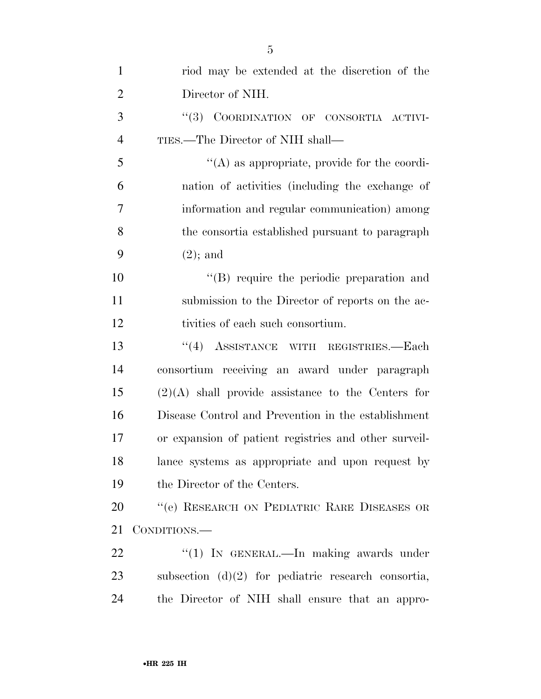| $\mathbf{1}$   | riod may be extended at the discretion of the         |
|----------------|-------------------------------------------------------|
| $\overline{2}$ | Director of NIH.                                      |
| 3              | "(3) COORDINATION OF CONSORTIA ACTIVI-                |
| $\overline{4}$ | TIES.—The Director of NIH shall—                      |
| 5              | $\lq\lq$ as appropriate, provide for the coordi-      |
| 6              | nation of activities (including the exchange of       |
| $\overline{7}$ | information and regular communication) among          |
| 8              | the consortia established pursuant to paragraph       |
| 9              | $(2)$ ; and                                           |
| 10             | "(B) require the periodic preparation and             |
| 11             | submission to the Director of reports on the ac-      |
| 12             | tivities of each such consortium.                     |
| 13             | "(4) ASSISTANCE WITH REGISTRIES.-Each                 |
| 14             | consortium receiving an award under paragraph         |
| 15             | $(2)(A)$ shall provide assistance to the Centers for  |
| 16             | Disease Control and Prevention in the establishment   |
| 17             | or expansion of patient registries and other surveil- |
| 18             | lance systems as appropriate and upon request by      |
| 19             | the Director of the Centers.                          |
| 20             | "(e) RESEARCH ON PEDIATRIC RARE DISEASES OR           |
| 21             | CONDITIONS.—                                          |
| 22             | " $(1)$ IN GENERAL.—In making awards under            |
| 23             | subsection $(d)(2)$ for pediatric research consortia, |
| 24             | the Director of NIH shall ensure that an appro-       |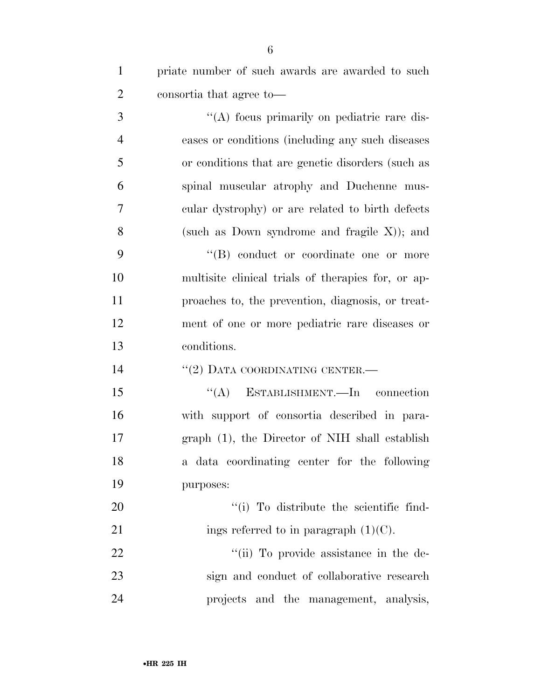| $\mathbf{1}$   | priate number of such awards are awarded to such    |
|----------------|-----------------------------------------------------|
| $\overline{2}$ | consortia that agree to—                            |
| 3              | "(A) focus primarily on pediatric rare dis-         |
| $\overline{4}$ | eases or conditions (including any such diseases    |
| 5              | or conditions that are genetic disorders (such as   |
| 6              | spinal muscular atrophy and Duchenne mus-           |
| $\overline{7}$ | cular dystrophy) or are related to birth defects    |
| 8              | (such as Down syndrome and fragile $X$ ); and       |
| 9              | "(B) conduct or coordinate one or more              |
| 10             | multisite clinical trials of the rapies for, or ap- |
| 11             | proaches to, the prevention, diagnosis, or treat-   |
| 12             | ment of one or more pediatric rare diseases or      |
| 13             | conditions.                                         |
| 14             | $``(2)$ DATA COORDINATING CENTER.—                  |
| 15             | $\lq\lq$ ESTABLISHMENT. In connection               |
| 16             | with support of consortia described in para-        |
| 17             | graph (1), the Director of NIH shall establish      |
| 18             | a data coordinating center for the following        |
| 19             | purposes:                                           |
| 20             | "(i) To distribute the scientific find-             |
| 21             | ings referred to in paragraph $(1)(C)$ .            |
| 22             | "(ii) To provide assistance in the de-              |
| 23             | sign and conduct of collaborative research          |
| 24             | projects and the management, analysis,              |